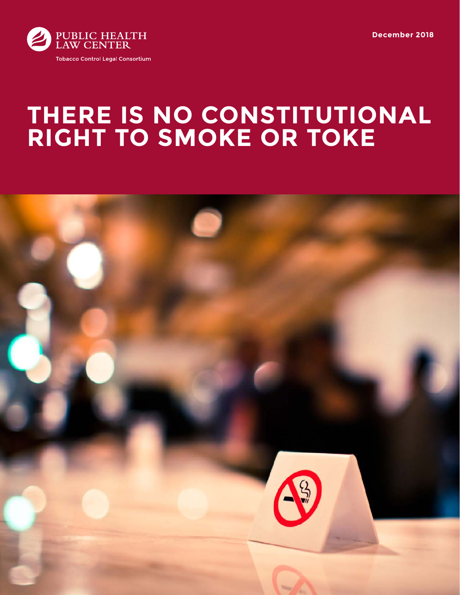



# **THERE IS NO CONSTITUTIONAL RIGHT TO SMOKE OR TOKE**

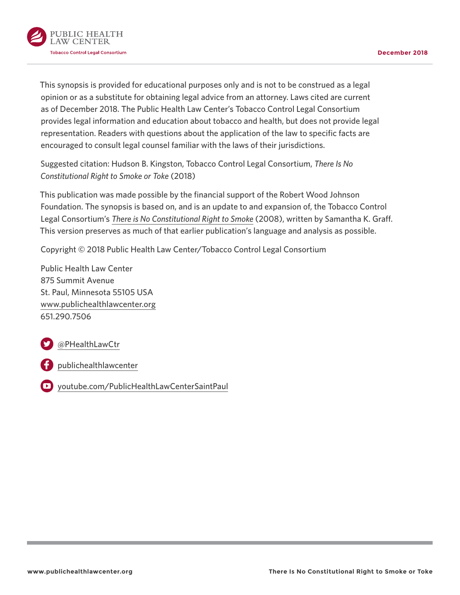

This synopsis is provided for educational purposes only and is not to be construed as a legal opinion or as a substitute for obtaining legal advice from an attorney. Laws cited are current as of December 2018. The Public Health Law Center's Tobacco Control Legal Consortium provides legal information and education about tobacco and health, but does not provide legal representation. Readers with questions about the application of the law to specific facts are encouraged to consult legal counsel familiar with the laws of their jurisdictions.

Suggested citation: Hudson B. Kingston, Tobacco Control Legal Consortium, *There Is No Constitutional Right to Smoke or Toke* (2018)

This publication was made possible by the financial support of the Robert Wood Johnson Foundation. The synopsis is based on, and is an update to and expansion of, the Tobacco Control Legal Consortium's *[There is No Constitutional Right to Smoke](http://publichealthlawcenter.org/sites/default/files/resources/tclc-syn-constitution-2008.pdf)* (2008), written by Samantha K. Graff. This version preserves as much of that earlier publication's language and analysis as possible.

Copyright © 2018 Public Health Law Center/Tobacco Control Legal Consortium

Public Health Law Center 875 Summit Avenue St. Paul, Minnesota 55105 USA [www.publichealthlawcenter.org](http://www.publichealthlawcenter.org) 651.290.7506

[@PHealthLawCtr](https://twitter.com/PHealthLawCtr)

[publichealthlawcenter](https://www.facebook.com/publichealthlawcenter)

[youtube.com/PublicHealthLawCenterSaintPaul](https://www.youtube.com/PublicHealthLawCenterSaintPaul)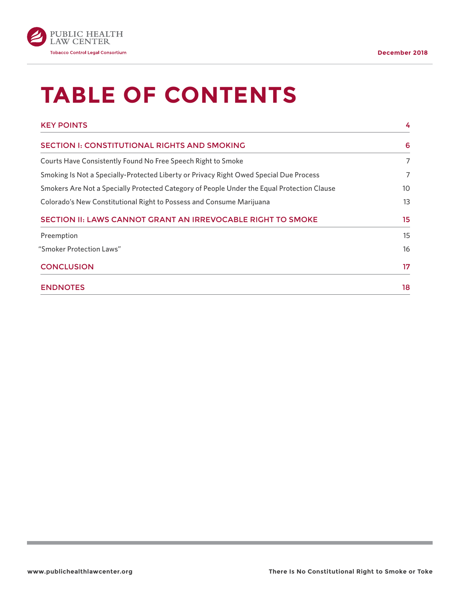

# **TABLE OF CONTENTS**

| <b>KEY POINTS</b>                                                                          | 4  |
|--------------------------------------------------------------------------------------------|----|
| <b>SECTION I: CONSTITUTIONAL RIGHTS AND SMOKING</b>                                        | 6  |
| Courts Have Consistently Found No Free Speech Right to Smoke                               | 7  |
| Smoking Is Not a Specially-Protected Liberty or Privacy Right Owed Special Due Process     | 7  |
| Smokers Are Not a Specially Protected Category of People Under the Equal Protection Clause | 10 |
| Colorado's New Constitutional Right to Possess and Consume Marijuana                       | 13 |
| SECTION II: LAWS CANNOT GRANT AN IRREVOCABLE RIGHT TO SMOKE                                | 15 |
| Preemption                                                                                 | 15 |
| "Smoker Protection Laws"                                                                   | 16 |
| <b>CONCLUSION</b>                                                                          | 17 |
| <b>ENDNOTES</b>                                                                            | 18 |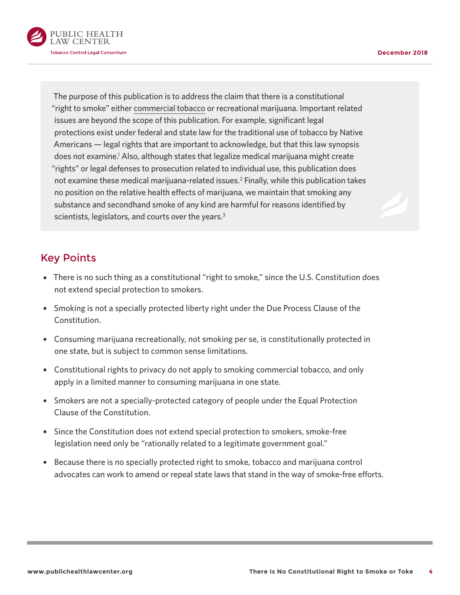<span id="page-3-0"></span>

The purpose of this publication is to address the claim that there is a constitutional "right to smoke" either [commercial tobacco](http://keepitsacred.itcmi.org/tobacco-and-tradition/traditional-v-commercial/) or recreational marijuana. Important related issues are beyond the scope of this publication. For example, significant legal protections exist under federal and state law for the traditional use of tobacco by Native Americans — legal rights that are important to acknowledge, but that this law synopsis does not examine.<sup>1</sup> Also, although states that legalize medical marijuana might create "rights" or legal defenses to prosecution related to individual use, this publication does not examine these medical marijuana-related issues.<sup>2</sup> Finally, while this publication takes no position on the relative health effects of marijuana, we maintain that smoking any substance and secondhand smoke of any kind are harmful for reasons identified by scientists, legislators, and courts over the years.<sup>3</sup>

# Key Points

- There is no such thing as a constitutional "right to smoke," since the U.S. Constitution does not extend special protection to smokers.
- Smoking is not a specially protected liberty right under the Due Process Clause of the Constitution.
- Consuming marijuana recreationally, not smoking per se, is constitutionally protected in one state, but is subject to common sense limitations.
- Constitutional rights to privacy do not apply to smoking commercial tobacco, and only apply in a limited manner to consuming marijuana in one state.
- Smokers are not a specially-protected category of people under the Equal Protection Clause of the Constitution.
- Since the Constitution does not extend special protection to smokers, smoke-free legislation need only be "rationally related to a legitimate government goal."
- Because there is no specially protected right to smoke, tobacco and marijuana control advocates can work to amend or repeal state laws that stand in the way of smoke-free efforts.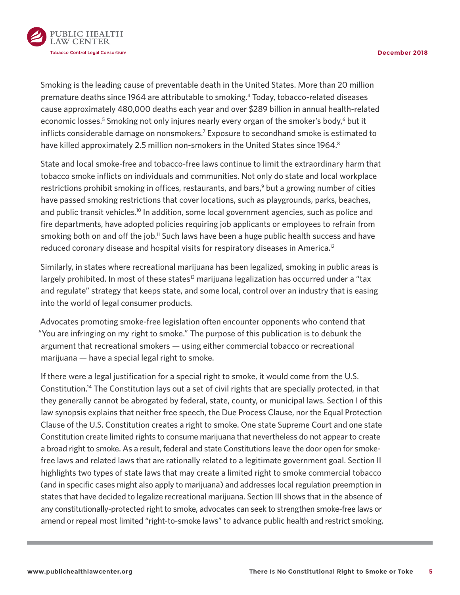<span id="page-4-0"></span>

Smoking is the leading cause of preventable death in the United States. More than 20 million premature deaths since 1964 are attributable to smoking[.4](#page-17-0) Today, tobacco-related diseases cause approximately 480,000 deaths each year and over \$289 billion in annual health-related economic losses.<sup>5</sup> Smoking not only injures nearly every organ of the smoker's body,<sup>6</sup> but it inflicts considerable damage on nonsmokers.<sup>7</sup> Exposure to secondhand smoke is estimated to have killed approximately 2.5 million non-smokers in the United States since 1964.<sup>[8](#page-17-0)</sup>

State and local smoke-free and tobacco-free laws continue to limit the extraordinary harm that tobacco smoke inflicts on individuals and communities. Not only do state and local workplace restrictions prohibit smoking in offices, restaurants, and bars,<sup>9</sup> but a growing number of cities have passed smoking restrictions that cover locations, such as playgrounds, parks, beaches, and public transit vehicles.<sup>10</sup> In addition, some local government agencies, such as police and fire departments, have adopted policies requiring job applicants or employees to refrain from smoking both on and off the job.<sup>11</sup> Such laws have been a huge public health success and have reduced coronary disease and hospital visits for respiratory diseases in America[.12](#page-17-0)

Similarly, in states where recreational marijuana has been legalized, smoking in public areas is largely prohibited. In most of these states<sup>13</sup> marijuana legalization has occurred under a "tax and regulate" strategy that keeps state, and some local, control over an industry that is easing into the world of legal consumer products.

Advocates promoting smoke-free legislation often encounter opponents who contend that "You are infringing on my right to smoke." The purpose of this publication is to debunk the argument that recreational smokers — using either commercial tobacco or recreational marijuana — have a special legal right to smoke.

If there were a legal justification for a special right to smoke, it would come from the U.S. Constitution[.14](#page-18-0) The Constitution lays out a set of civil rights that are specially protected, in that they generally cannot be abrogated by federal, state, county, or municipal laws. Section I of this law synopsis explains that neither free speech, the Due Process Clause, nor the Equal Protection Clause of the U.S. Constitution creates a right to smoke. One state Supreme Court and one state Constitution create limited rights to consume marijuana that nevertheless do not appear to create a broad right to smoke. As a result, federal and state Constitutions leave the door open for smokefree laws and related laws that are rationally related to a legitimate government goal. Section II highlights two types of state laws that may create a limited right to smoke commercial tobacco (and in specific cases might also apply to marijuana) and addresses local regulation preemption in states that have decided to legalize recreational marijuana. Section III shows that in the absence of any constitutionally-protected right to smoke, advocates can seek to strengthen smoke-free laws or amend or repeal most limited "right-to-smoke laws" to advance public health and restrict smoking.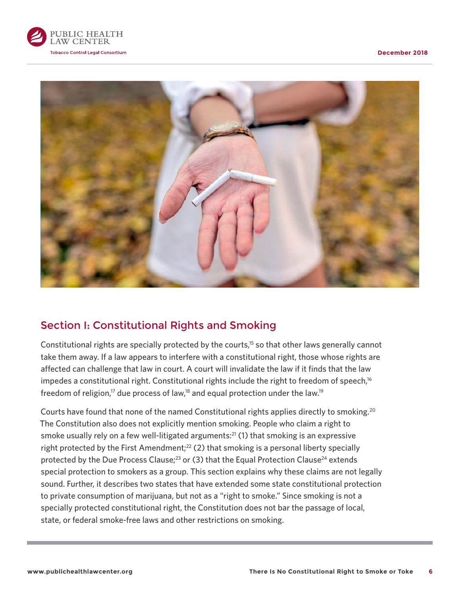<span id="page-5-0"></span>



# Section I: Constitutional Rights and Smoking

Constitutional rights are specially protected by the courts,<sup>15</sup> so that other laws generally cannot take them away. If a law appears to interfere with a constitutional right, those whose rights are affected can challenge that law in court. A court will invalidate the law if it finds that the law impedes a constitutional right. Constitutional rights include the right to freedom of speech,<sup>16</sup> freedom of religion,<sup>17</sup> due process of law,<sup>18</sup> and equal protection under the law.<sup>19</sup>

Courts have found that none of the named Constitutional rights applies directly to smoking.[20](#page-18-0) The Constitution also does not explicitly mention smoking. People who claim a right to smoke usually rely on a few well-litigated arguments:<sup>[21](#page-18-0)</sup> (1) that smoking is an expressive right protected by the First Amendment;<sup>22</sup> (2) that smoking is a personal liberty specially protected by the Due Process Clause;<sup>23</sup> or (3) that the Equal Protection Clause<sup>24</sup> extends special protection to smokers as a group. This section explains why these claims are not legally sound. Further, it describes two states that have extended some state constitutional protection to private consumption of marijuana, but not as a "right to smoke." Since smoking is not a specially protected constitutional right, the Constitution does not bar the passage of local, state, or federal smoke-free laws and other restrictions on smoking.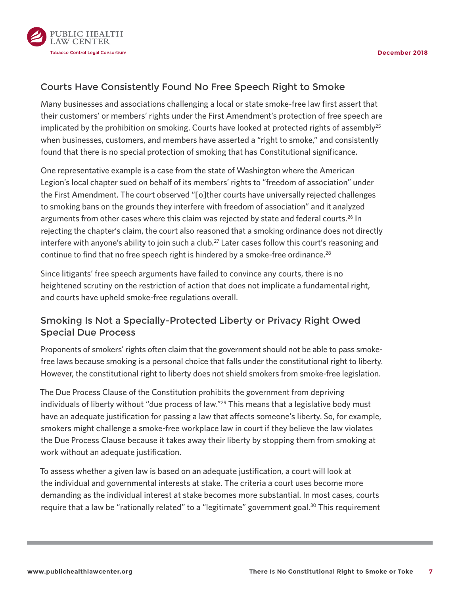<span id="page-6-0"></span>

## Courts Have Consistently Found No Free Speech Right to Smoke

Many businesses and associations challenging a local or state smoke-free law first assert that their customers' or members' rights under the First Amendment's protection of free speech are implicated by the prohibition on smoking. Courts have looked at protected rights of assembly<sup>25</sup> when businesses, customers, and members have asserted a "right to smoke," and consistently found that there is no special protection of smoking that has Constitutional significance.

One representative example is a case from the state of Washington where the American Legion's local chapter sued on behalf of its members' rights to "freedom of association" under the First Amendment. The court observed "[o]ther courts have universally rejected challenges to smoking bans on the grounds they interfere with freedom of association" and it analyzed arguments from other cases where this claim was rejected by state and federal courts.<sup>26</sup> In rejecting the chapter's claim, the court also reasoned that a smoking ordinance does not directly interfere with anyone's ability to join such a club.<sup>27</sup> Later cases follow this court's reasoning and continue to find that no free speech right is hindered by a smoke-free ordinance.<sup>28</sup>

Since litigants' free speech arguments have failed to convince any courts, there is no heightened scrutiny on the restriction of action that does not implicate a fundamental right, and courts have upheld smoke-free regulations overall.

## Smoking Is Not a Specially-Protected Liberty or Privacy Right Owed Special Due Process

Proponents of smokers' rights often claim that the government should not be able to pass smokefree laws because smoking is a personal choice that falls under the constitutional right to liberty. However, the constitutional right to liberty does not shield smokers from smoke-free legislation.

The Due Process Clause of the Constitution prohibits the government from depriving individuals of liberty without "due process of law."<sup>29</sup> This means that a legislative body must have an adequate justification for passing a law that affects someone's liberty. So, for example, smokers might challenge a smoke-free workplace law in court if they believe the law violates the Due Process Clause because it takes away their liberty by stopping them from smoking at work without an adequate justification.

To assess whether a given law is based on an adequate justification, a court will look at the individual and governmental interests at stake. The criteria a court uses become more demanding as the individual interest at stake becomes more substantial. In most cases, courts require that a law be "rationally related" to a "legitimate" government goal.<sup>30</sup> This requirement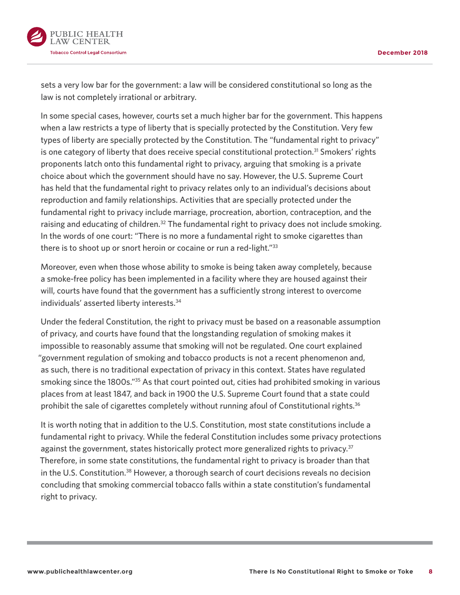<span id="page-7-0"></span>

sets a very low bar for the government: a law will be considered constitutional so long as the law is not completely irrational or arbitrary.

In some special cases, however, courts set a much higher bar for the government. This happens when a law restricts a type of liberty that is specially protected by the Constitution. Very few types of liberty are specially protected by the Constitution. The "fundamental right to privacy" is one category of liberty that does receive special constitutional protection.<sup>31</sup> Smokers' rights proponents latch onto this fundamental right to privacy, arguing that smoking is a private choice about which the government should have no say. However, the U.S. Supreme Court has held that the fundamental right to privacy relates only to an individual's decisions about reproduction and family relationships. Activities that are specially protected under the fundamental right to privacy include marriage, procreation, abortion, contraception, and the raising and educating of children. $32$  The fundamental right to privacy does not include smoking. In the words of one court: "There is no more a fundamental right to smoke cigarettes than there is to shoot up or snort heroin or cocaine or run a red-light.["33](#page-19-0)

Moreover, even when those whose ability to smoke is being taken away completely, because a smoke-free policy has been implemented in a facility where they are housed against their will, courts have found that the government has a sufficiently strong interest to overcome individuals' asserted liberty interests.[34](#page-19-0)

Under the federal Constitution, the right to privacy must be based on a reasonable assumption of privacy, and courts have found that the longstanding regulation of smoking makes it impossible to reasonably assume that smoking will not be regulated. One court explained "government regulation of smoking and tobacco products is not a recent phenomenon and, as such, there is no traditional expectation of privacy in this context. States have regulated smoking since the 1800s.<sup>["35](#page-19-0)</sup> As that court pointed out, cities had prohibited smoking in various places from at least 1847, and back in 1900 the U.S. Supreme Court found that a state could prohibit the sale of cigarettes completely without running afoul of Constitutional rights.<sup>[36](#page-19-0)</sup>

It is worth noting that in addition to the U.S. Constitution, most state constitutions include a fundamental right to privacy. While the federal Constitution includes some privacy protections against the government, states historically protect more generalized rights to privacy.<sup>[37](#page-19-0)</sup> Therefore, in some state constitutions, the fundamental right to privacy is broader than that in the U.S. Constitution.<sup>[38](#page-19-0)</sup> However, a thorough search of court decisions reveals no decision concluding that smoking commercial tobacco falls within a state constitution's fundamental right to privacy.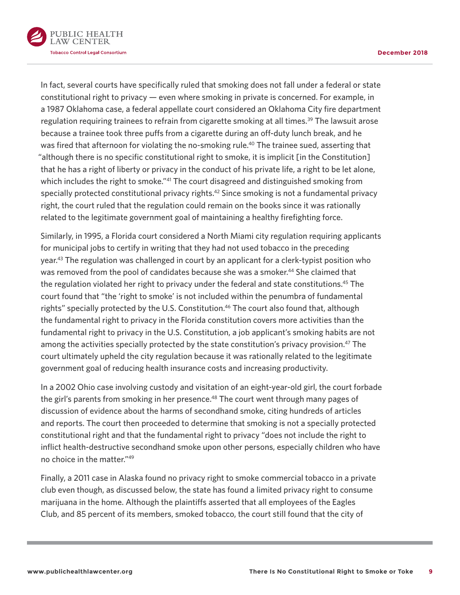<span id="page-8-0"></span>

In fact, several courts have specifically ruled that smoking does not fall under a federal or state constitutional right to privacy — even where smoking in private is concerned. For example, in a 1987 Oklahoma case, a federal appellate court considered an Oklahoma City fire department regulation requiring trainees to refrain from cigarette smoking at all times.<sup>39</sup> The lawsuit arose because a trainee took three puffs from a cigarette during an off-duty lunch break, and he was fired that afternoon for violating the no-smoking rule.<sup>40</sup> The trainee sued, asserting that "although there is no specific constitutional right to smoke, it is implicit [in the Constitution] that he has a right of liberty or privacy in the conduct of his private life, a right to be let alone, which includes the right to smoke."<sup>41</sup> The court disagreed and distinguished smoking from specially protected constitutional privacy rights.<sup>42</sup> Since smoking is not a fundamental privacy right, the court ruled that the regulation could remain on the books since it was rationally related to the legitimate government goal of maintaining a healthy firefighting force.

Similarly, in 1995, a Florida court considered a North Miami city regulation requiring applicants for municipal jobs to certify in writing that they had not used tobacco in the preceding year.[43](#page-19-0) The regulation was challenged in court by an applicant for a clerk-typist position who was removed from the pool of candidates because she was a smoker.<sup>[44](#page-19-0)</sup> She claimed that the regulation violated her right to privacy under the federal and state constitutions.<sup>45</sup> The court found that "the 'right to smoke' is not included within the penumbra of fundamental rights" specially protected by the U.S. Constitution.<sup>46</sup> The court also found that, although the fundamental right to privacy in the Florida constitution covers more activities than the fundamental right to privacy in the U.S. Constitution, a job applicant's smoking habits are not among the activities specially protected by the state constitution's privacy provision.<sup>47</sup> The court ultimately upheld the city regulation because it was rationally related to the legitimate government goal of reducing health insurance costs and increasing productivity.

In a 2002 Ohio case involving custody and visitation of an eight-year-old girl, the court forbade the girl's parents from smoking in her presence.<sup>[48](#page-19-0)</sup> The court went through many pages of discussion of evidence about the harms of secondhand smoke, citing hundreds of articles and reports. The court then proceeded to determine that smoking is not a specially protected constitutional right and that the fundamental right to privacy "does not include the right to inflict health-destructive secondhand smoke upon other persons, especially children who have no choice in the matter.["49](#page-19-0)

Finally, a 2011 case in Alaska found no privacy right to smoke commercial tobacco in a private club even though, as discussed below, the state has found a limited privacy right to consume marijuana in the home. Although the plaintiffs asserted that all employees of the Eagles Club, and 85 percent of its members, smoked tobacco, the court still found that the city of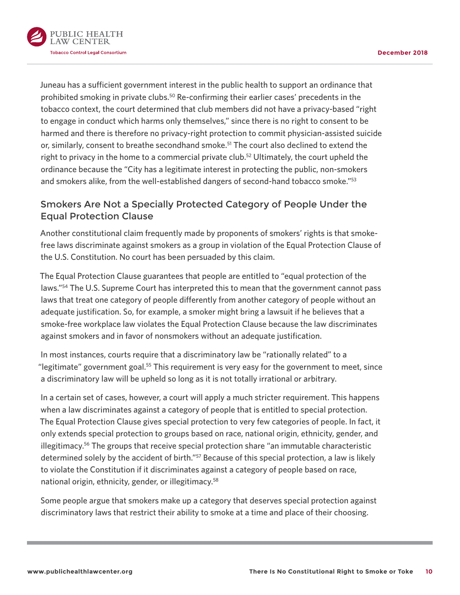<span id="page-9-0"></span>

Juneau has a sufficient government interest in the public health to support an ordinance that prohibited smoking in private clubs.<sup>[50](#page-19-0)</sup> Re-confirming their earlier cases' precedents in the tobacco context, the court determined that club members did not have a privacy-based "right to engage in conduct which harms only themselves," since there is no right to consent to be harmed and there is therefore no privacy-right protection to commit physician-assisted suicide or, similarly, consent to breathe secondhand smoke.<sup>51</sup> The court also declined to extend the right to privacy in the home to a commercial private club.<sup>52</sup> Ultimately, the court upheld the ordinance because the "City has a legitimate interest in protecting the public, non-smokers and smokers alike, from the well-established dangers of second-hand tobacco smoke."<sup>[53](#page-19-0)</sup>

## Smokers Are Not a Specially Protected Category of People Under the Equal Protection Clause

Another constitutional claim frequently made by proponents of smokers' rights is that smokefree laws discriminate against smokers as a group in violation of the Equal Protection Clause of the U.S. Constitution. No court has been persuaded by this claim.

The Equal Protection Clause guarantees that people are entitled to "equal protection of the laws."<sup>[54](#page-20-0)</sup> The U.S. Supreme Court has interpreted this to mean that the government cannot pass laws that treat one category of people differently from another category of people without an adequate justification. So, for example, a smoker might bring a lawsuit if he believes that a smoke-free workplace law violates the Equal Protection Clause because the law discriminates against smokers and in favor of nonsmokers without an adequate justification.

In most instances, courts require that a discriminatory law be "rationally related" to a "legitimate" government goal.<sup>55</sup> This requirement is very easy for the government to meet, since a discriminatory law will be upheld so long as it is not totally irrational or arbitrary.

In a certain set of cases, however, a court will apply a much stricter requirement. This happens when a law discriminates against a category of people that is entitled to special protection. The Equal Protection Clause gives special protection to very few categories of people. In fact, it only extends special protection to groups based on race, national origin, ethnicity, gender, and illegitimacy.<sup>[56](#page-20-0)</sup> The groups that receive special protection share "an immutable characteristic determined solely by the accident of birth."<sup>57</sup> Because of this special protection, a law is likely to violate the Constitution if it discriminates against a category of people based on race, national origin, ethnicity, gender, or illegitimacy.<sup>[58](#page-20-0)</sup>

Some people argue that smokers make up a category that deserves special protection against discriminatory laws that restrict their ability to smoke at a time and place of their choosing.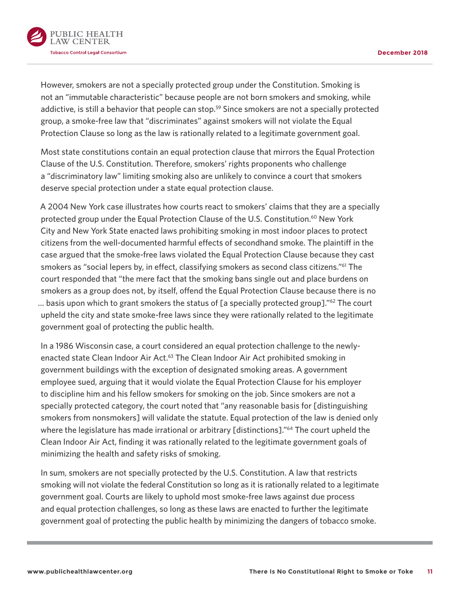<span id="page-10-0"></span>

However, smokers are not a specially protected group under the Constitution. Smoking is not an "immutable characteristic" because people are not born smokers and smoking, while addictive, is still a behavior that people can stop.<sup>59</sup> Since smokers are not a specially protected group, a smoke-free law that "discriminates" against smokers will not violate the Equal Protection Clause so long as the law is rationally related to a legitimate government goal.

Most state constitutions contain an equal protection clause that mirrors the Equal Protection Clause of the U.S. Constitution. Therefore, smokers' rights proponents who challenge a "discriminatory law" limiting smoking also are unlikely to convince a court that smokers deserve special protection under a state equal protection clause.

A 2004 New York case illustrates how courts react to smokers' claims that they are a specially protected group under the Equal Protection Clause of the U.S. Constitution.<sup>60</sup> New York City and New York State enacted laws prohibiting smoking in most indoor places to protect citizens from the well-documented harmful effects of secondhand smoke. The plaintiff in the case argued that the smoke-free laws violated the Equal Protection Clause because they cast smokers as "social lepers by, in effect, classifying smokers as second class citizens.["61](#page-20-0) The court responded that "the mere fact that the smoking bans single out and place burdens on smokers as a group does not, by itself, offend the Equal Protection Clause because there is no ... basis upon which to grant smokers the status of [a specially protected group]."<sup>62</sup> The court upheld the city and state smoke-free laws since they were rationally related to the legitimate government goal of protecting the public health.

In a 1986 Wisconsin case, a court considered an equal protection challenge to the newlyenacted state Clean Indoor Air Act.<sup>63</sup> The Clean Indoor Air Act prohibited smoking in government buildings with the exception of designated smoking areas. A government employee sued, arguing that it would violate the Equal Protection Clause for his employer to discipline him and his fellow smokers for smoking on the job. Since smokers are not a specially protected category, the court noted that "any reasonable basis for [distinguishing smokers from nonsmokers] will validate the statute. Equal protection of the law is denied only where the legislature has made irrational or arbitrary [distinctions]."<sup>64</sup> The court upheld the Clean Indoor Air Act, finding it was rationally related to the legitimate government goals of minimizing the health and safety risks of smoking.

In sum, smokers are not specially protected by the U.S. Constitution. A law that restricts smoking will not violate the federal Constitution so long as it is rationally related to a legitimate government goal. Courts are likely to uphold most smoke-free laws against due process and equal protection challenges, so long as these laws are enacted to further the legitimate government goal of protecting the public health by minimizing the dangers of tobacco smoke.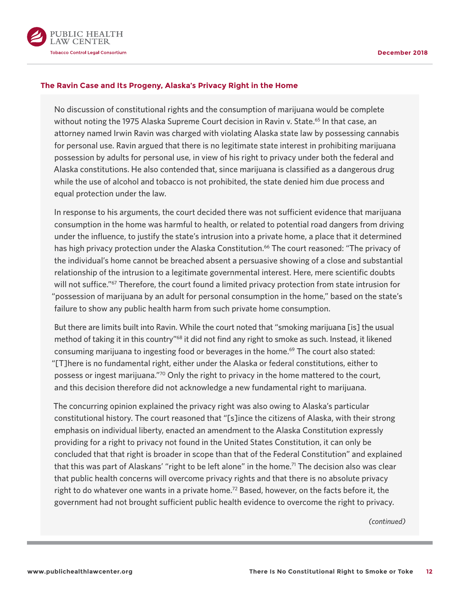<span id="page-11-0"></span>

#### **The Ravin Case and Its Progeny, Alaska's Privacy Right in the Home**

No discussion of constitutional rights and the consumption of marijuana would be complete without noting the 1975 Alaska Supreme Court decision in Ravin v. State.<sup>65</sup> In that case, an attorney named Irwin Ravin was charged with violating Alaska state law by possessing cannabis for personal use. Ravin argued that there is no legitimate state interest in prohibiting marijuana possession by adults for personal use, in view of his right to privacy under both the federal and Alaska constitutions. He also contended that, since marijuana is classified as a dangerous drug while the use of alcohol and tobacco is not prohibited, the state denied him due process and equal protection under the law.

In response to his arguments, the court decided there was not sufficient evidence that marijuana consumption in the home was harmful to health, or related to potential road dangers from driving under the influence, to justify the state's intrusion into a private home, a place that it determined has high privacy protection under the Alaska Constitution.<sup>[66](#page-20-0)</sup> The court reasoned: "The privacy of the individual's home cannot be breached absent a persuasive showing of a close and substantial relationship of the intrusion to a legitimate governmental interest. Here, mere scientific doubts will not suffice."<sup>67</sup> Therefore, the court found a limited privacy protection from state intrusion for "possession of marijuana by an adult for personal consumption in the home," based on the state's failure to show any public health harm from such private home consumption.

But there are limits built into Ravin. While the court noted that "smoking marijuana [is] the usual method of taking it in this country"<sup>68</sup> it did not find any right to smoke as such. Instead, it likened consuming marijuana to ingesting food or beverages in the home.<sup>69</sup> The court also stated: "[T]here is no fundamental right, either under the Alaska or federal constitutions, either to possess or ingest marijuana."[70](#page-20-0) Only the right to privacy in the home mattered to the court, and this decision therefore did not acknowledge a new fundamental right to marijuana.

The concurring opinion explained the privacy right was also owing to Alaska's particular constitutional history. The court reasoned that "[s]ince the citizens of Alaska, with their strong emphasis on individual liberty, enacted an amendment to the Alaska Constitution expressly providing for a right to privacy not found in the United States Constitution, it can only be concluded that that right is broader in scope than that of the Federal Constitution" and explained that this was part of Alaskans' "right to be left alone" in the home.<sup>71</sup> The decision also was clear that public health concerns will overcome privacy rights and that there is no absolute privacy right to do whatever one wants in a private home.<sup>72</sup> Based, however, on the facts before it, the government had not brought sufficient public health evidence to overcome the right to privacy.

*(continued)*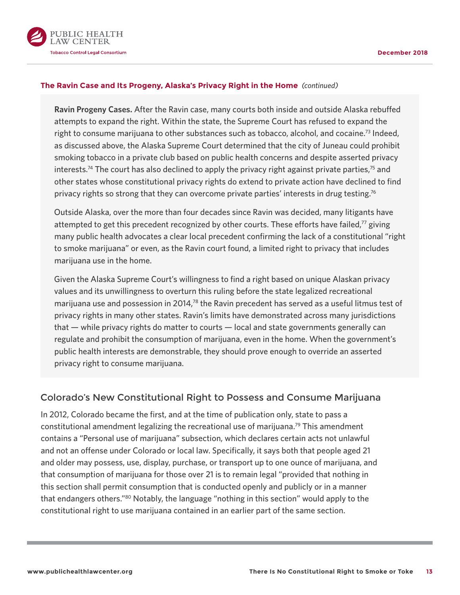<span id="page-12-0"></span>

#### **The Ravin Case and Its Progeny, Alaska's Privacy Right in the Home** *(continued)*

**Ravin Progeny Cases.** After the Ravin case, many courts both inside and outside Alaska rebuffed attempts to expand the right. Within the state, the Supreme Court has refused to expand the right to consume marijuana to other substances such as tobacco, alcohol, and cocaine[.73](#page-21-0) Indeed, as discussed above, the Alaska Supreme Court determined that the city of Juneau could prohibit smoking tobacco in a private club based on public health concerns and despite asserted privacy interests.<sup>74</sup> The court has also declined to apply the privacy right against private parties,<sup>[75](#page-21-0)</sup> and other states whose constitutional privacy rights do extend to private action have declined to find privacy rights so strong that they can overcome private parties' interests in drug testing.<sup>[76](#page-21-0)</sup>

Outside Alaska, over the more than four decades since Ravin was decided, many litigants have attempted to get this precedent recognized by other courts. These efforts have failed, $77$  giving many public health advocates a clear local precedent confirming the lack of a constitutional "right to smoke marijuana" or even, as the Ravin court found, a limited right to privacy that includes marijuana use in the home.

Given the Alaska Supreme Court's willingness to find a right based on unique Alaskan privacy values and its unwillingness to overturn this ruling before the state legalized recreational marijuana use and possession in 2014,<sup>78</sup> the Ravin precedent has served as a useful litmus test of privacy rights in many other states. Ravin's limits have demonstrated across many jurisdictions that — while privacy rights do matter to courts — local and state governments generally can regulate and prohibit the consumption of marijuana, even in the home. When the government's public health interests are demonstrable, they should prove enough to override an asserted privacy right to consume marijuana.

### Colorado's New Constitutional Right to Possess and Consume Marijuana

In 2012, Colorado became the first, and at the time of publication only, state to pass a constitutional amendment legalizing the recreational use of marijuana.<sup>[79](#page-21-0)</sup> This amendment contains a "Personal use of marijuana" subsection, which declares certain acts not unlawful and not an offense under Colorado or local law. Specifically, it says both that people aged 21 and older may possess, use, display, purchase, or transport up to one ounce of marijuana, and that consumption of marijuana for those over 21 is to remain legal "provided that nothing in this section shall permit consumption that is conducted openly and publicly or in a manner that endangers others."[80](#page-21-0) Notably, the language "nothing in this section" would apply to the constitutional right to use marijuana contained in an earlier part of the same section.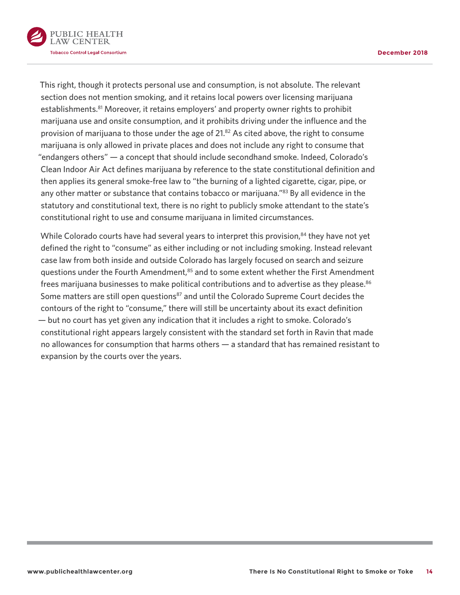<span id="page-13-0"></span>

This right, though it protects personal use and consumption, is not absolute. The relevant section does not mention smoking, and it retains local powers over licensing marijuana establishments.<sup>81</sup> Moreover, it retains employers' and property owner rights to prohibit marijuana use and onsite consumption, and it prohibits driving under the influence and the provision of marijuana to those under the age of 21.<sup>[82](#page-22-0)</sup> As cited above, the right to consume marijuana is only allowed in private places and does not include any right to consume that "endangers others" — a concept that should include secondhand smoke. Indeed, Colorado's Clean Indoor Air Act defines marijuana by reference to the state constitutional definition and then applies its general smoke-free law to "the burning of a lighted cigarette, cigar, pipe, or any other matter or substance that contains tobacco or marijuana."<sup>83</sup> By all evidence in the statutory and constitutional text, there is no right to publicly smoke attendant to the state's constitutional right to use and consume marijuana in limited circumstances.

While Colorado courts have had several years to interpret this provision, $84$  they have not yet defined the right to "consume" as either including or not including smoking. Instead relevant case law from both inside and outside Colorado has largely focused on search and seizure questions under the Fourth Amendment,<sup>85</sup> and to some extent whether the First Amendment frees marijuana businesses to make political contributions and to advertise as they please.<sup>[86](#page-22-0)</sup> Some matters are still open questions<sup>87</sup> and until the Colorado Supreme Court decides the contours of the right to "consume," there will still be uncertainty about its exact definition — but no court has yet given any indication that it includes a right to smoke. Colorado's constitutional right appears largely consistent with the standard set forth in Ravin that made no allowances for consumption that harms others — a standard that has remained resistant to expansion by the courts over the years.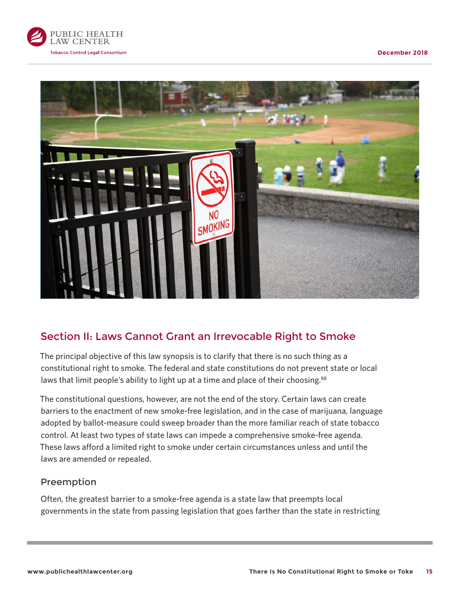<span id="page-14-0"></span>



# Section II: Laws Cannot Grant an Irrevocable Right to Smoke

The principal objective of this law synopsis is to clarify that there is no such thing as a constitutional right to smoke. The federal and state constitutions do not prevent state or local laws that limit people's ability to light up at a time and place of their choosing.<sup>88</sup>

The constitutional questions, however, are not the end of the story. Certain laws can create barriers to the enactment of new smoke-free legislation, and in the case of marijuana, language adopted by ballot-measure could sweep broader than the more familiar reach of state tobacco control. At least two types of state laws can impede a comprehensive smoke-free agenda. These laws afford a limited right to smoke under certain circumstances unless and until the laws are amended or repealed.

### Preemption

Often, the greatest barrier to a smoke-free agenda is a state law that preempts local governments in the state from passing legislation that goes farther than the state in restricting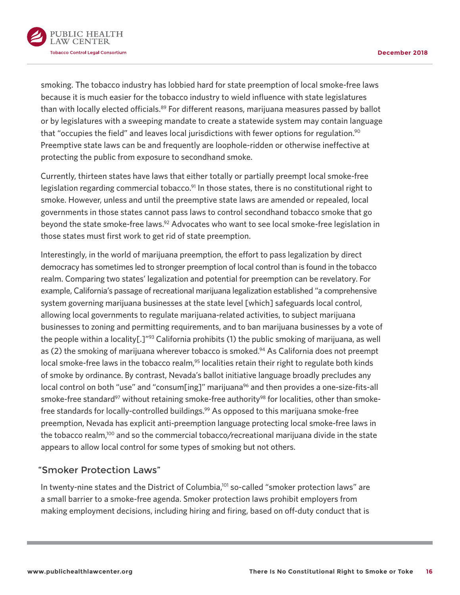<span id="page-15-0"></span>

smoking. The tobacco industry has lobbied hard for state preemption of local smoke-free laws because it is much easier for the tobacco industry to wield influence with state legislatures than with locally elected officials.<sup>89</sup> For different reasons, marijuana measures passed by ballot or by legislatures with a sweeping mandate to create a statewide system may contain language that "occupies the field" and leaves local jurisdictions with fewer options for regulation.<sup>90</sup> Preemptive state laws can be and frequently are loophole-ridden or otherwise ineffective at protecting the public from exposure to secondhand smoke.

Currently, thirteen states have laws that either totally or partially preempt local smoke-free legislation regarding commercial tobacco.<sup>91</sup> In those states, there is no constitutional right to smoke. However, unless and until the preemptive state laws are amended or repealed, local governments in those states cannot pass laws to control secondhand tobacco smoke that go beyond the state smoke-free laws.<sup>92</sup> Advocates who want to see local smoke-free legislation in those states must first work to get rid of state preemption.

Interestingly, in the world of marijuana preemption, the effort to pass legalization by direct democracy has sometimes led to stronger preemption of local control than is found in the tobacco realm. Comparing two states' legalization and potential for preemption can be revelatory. For example, California's passage of recreational marijuana legalization established "a comprehensive system governing marijuana businesses at the state level [which] safeguards local control, allowing local governments to regulate marijuana-related activities, to subject marijuana businesses to zoning and permitting requirements, and to ban marijuana businesses by a vote of the people within a locality[.]"<sup>93</sup> California prohibits (1) the public smoking of marijuana, as well as (2) the smoking of marijuana wherever tobacco is smoked.<sup>94</sup> As California does not preempt local smoke-free laws in the tobacco realm,<sup>95</sup> localities retain their right to regulate both kinds of smoke by ordinance. By contrast, Nevada's ballot initiative language broadly precludes any local control on both "use" and "consum[ing]" marijuana<sup>[96](#page-23-0)</sup> and then provides a one-size-fits-all smoke-free standard<sup>97</sup> without retaining smoke-free authority<sup>98</sup> for localities, other than smokefree standards for locally-controlled buildings.<sup>99</sup> As opposed to this marijuana smoke-free preemption, Nevada has explicit anti-preemption language protecting local smoke-free laws in the tobacco realm[,100](#page-23-0) and so the commercial tobacco/recreational marijuana divide in the state appears to allow local control for some types of smoking but not others.

## "Smoker Protection Laws"

In twenty-nine states and the District of Columbia,<sup>101</sup> so-called "smoker protection laws" are a small barrier to a smoke-free agenda. Smoker protection laws prohibit employers from making employment decisions, including hiring and firing, based on off-duty conduct that is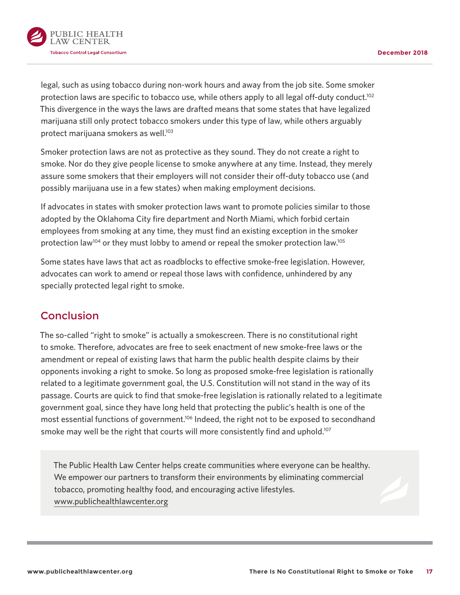<span id="page-16-0"></span>

legal, such as using tobacco during non-work hours and away from the job site. Some smoker protection laws are specific to tobacco use, while others apply to all legal off-duty conduct.<sup>102</sup> This divergence in the ways the laws are drafted means that some states that have legalized marijuana still only protect tobacco smokers under this type of law, while others arguably protect marijuana smokers as well.<sup>103</sup>

Smoker protection laws are not as protective as they sound. They do not create a right to smoke. Nor do they give people license to smoke anywhere at any time. Instead, they merely assure some smokers that their employers will not consider their off-duty tobacco use (and possibly marijuana use in a few states) when making employment decisions.

If advocates in states with smoker protection laws want to promote policies similar to those adopted by the Oklahoma City fire department and North Miami, which forbid certain employees from smoking at any time, they must find an existing exception in the smoker protection law<sup>[104](#page-23-0)</sup> or they must lobby to amend or repeal the smoker protection law.<sup>105</sup>

Some states have laws that act as roadblocks to effective smoke-free legislation. However, advocates can work to amend or repeal those laws with confidence, unhindered by any specially protected legal right to smoke.

# Conclusion

The so-called "right to smoke" is actually a smokescreen. There is no constitutional right to smoke. Therefore, advocates are free to seek enactment of new smoke-free laws or the amendment or repeal of existing laws that harm the public health despite claims by their opponents invoking a right to smoke. So long as proposed smoke-free legislation is rationally related to a legitimate government goal, the U.S. Constitution will not stand in the way of its passage. Courts are quick to find that smoke-free legislation is rationally related to a legitimate government goal, since they have long held that protecting the public's health is one of the most essential functions of government.<sup>106</sup> Indeed, the right not to be exposed to secondhand smoke may well be the right that courts will more consistently find and uphold.<sup>107</sup>

The Public Health Law Center helps create communities where everyone can be healthy. We empower our partners to transform their environments by eliminating commercial [tobacco, promoting healthy food](http://www.publichealthlawcenter.org), and encouraging active lifestyles. www.publichealthlawcenter.org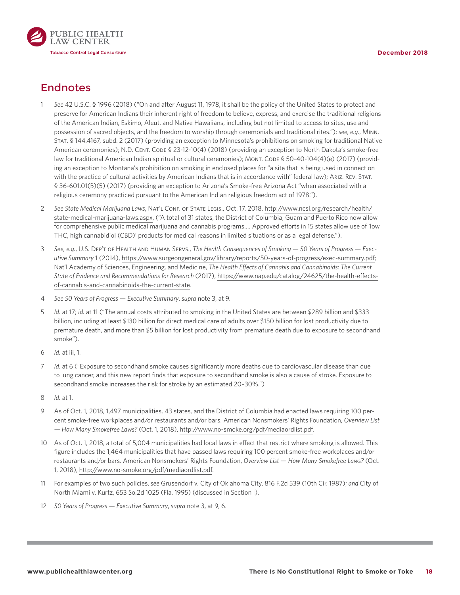<span id="page-17-0"></span>

# **Endnotes**

- See 42 U.S.C. § [1](#page-3-0)996 (2018) ("On and after August 11, 1978, it shall be the policy of the United States to protect and preserve for American Indians their inherent right of freedom to believe, express, and exercise the traditional religions of the American Indian, Eskimo, Aleut, and Native Hawaiians, including but not limited to access to sites, use and possession of sacred objects, and the freedom to worship through ceremonials and traditional rites."); *see, e.g.*, Minn. Stat. § 144.4167, subd. 2 (2017) (providing an exception to Minnesota's prohibitions on smoking for traditional Native American ceremonies); N.D. CENT. CODE § 23-12-10(4) (2018) (providing an exception to North Dakota's smoke-free law for traditional American Indian spiritual or cultural ceremonies); MONT. CODE § 50-40-104(4)(e) (2017) (providing an exception to Montana's prohibition on smoking in enclosed places for "a site that is being used in connection with the practice of cultural activities by American Indians that is in accordance with" federal law); ARIZ. REV. STAT. § 36-601.01(B)(5) (2017) (providing an exception to Arizona's Smoke-free Arizona Act "when associated with a religious ceremony practiced pursuant to the American Indian religious freedom act of 1978.").
- [2](#page-3-0)  *See State Medical Marijuana Laws*, Nat'l Conf. of State Legis., Oct. 17, 2018, [http://www.ncsl.org/research/health/](http://www.ncsl.org/research/health/state-medical-marijuana-laws.aspx) [state-medical-marijuana-laws.aspx](http://www.ncsl.org/research/health/state-medical-marijuana-laws.aspx), ("A total of 31 states, the District of Columbia, Guam and Puerto Rico now allow for comprehensive public medical marijuana and cannabis programs.… Approved efforts in 15 states allow use of 'low THC, high cannabidiol (CBD)' products for medical reasons in limited situations or as a legal defense.").
- [3](#page-3-0)  *See, e.g.*, U.S. Dep't of Health and Human Servs., *The Health Consequences of Smoking 50 Years of Progress Executive Summary* 1 (2014), [https://www.surgeongeneral.gov/library/reports/50-years-of-progress/exec-summary.pdf;](https://www.surgeongeneral.gov/library/reports/50-years-of-progress/exec-summary.pdf) Nat'l Academy of Sciences, Engineering, and Medicine, *The Health Effects of Cannabis and Cannabinoids: The Current State of Evidence and Recommendations for Research* (2017), [https://www.nap.edu/catalog/24625/the-health-effects](https://www.nap.edu/catalog/24625/the-health-effects-of-cannabis-and-cannabinoids-the-current-state)[of-cannabis-and-cannabinoids-the-current-state](https://www.nap.edu/catalog/24625/the-health-effects-of-cannabis-and-cannabinoids-the-current-state).
- [4](#page-4-0) *See 50 Years of Progress Executive Summary*, *supra* note 3, at 9.
- [5](#page-4-0)  *Id.* at 17; *id.* at 11 ("The annual costs attributed to smoking in the United States are between \$289 billion and \$333 billion, including at least \$130 billion for direct medical care of adults over \$150 billion for lost productivity due to premature death, and more than \$5 billion for lost productivity from premature death due to exposure to secondhand smoke").
- [6](#page-4-0) *Id.* at iii, 1.
- [7](#page-4-0)  *Id.* at 6 ("Exposure to secondhand smoke causes significantly more deaths due to cardiovascular disease than due to lung cancer, and this new report finds that exposure to secondhand smoke is also a cause of stroke. Exposure to secondhand smoke increases the risk for stroke by an estimated 20–30%.")
- [8](#page-4-0) *Id.* at 1.
- [9](#page-4-0) As of Oct. 1, 2018, 1,497 municipalities, 43 states, and the District of Columbia had enacted laws requiring 100 percent smoke-free workplaces and/or restaurants and/or bars. American Nonsmokers' Rights Foundation, *Overview List — How Many Smokefree Laws?* (Oct. 1, 2018), [http://www.no-smoke.org/pdf/mediaordlist.pdf.](http://www.no-smoke.org/pdf/mediaordlist.pdf)
- [10](#page-4-0)  As of Oct. 1, 2018, a total of 5,004 municipalities had local laws in effect that restrict where smoking is allowed. This figure includes the 1,464 municipalities that have passed laws requiring 100 percent smoke-free workplaces and/or restaurants and/or bars. American Nonsmokers' Rights Foundation, *Overview List — How Many Smokefree Laws?* (Oct. 1, 2018), [http://www.no-smoke.org/pdf/mediaordlist.pdf.](http://www.no-smoke.org/pdf/mediaordlist.pdf)
- [11](#page-4-0) For examples of two such policies, *see* Grusendorf v. City of Oklahoma City, 816 F.2d 539 (10th Cir. 1987); *and* City of North Miami v. Kurtz, 653 So.2d 1025 (Fla. 1995) (discussed in Section I).
- [12](#page-4-0) *50 Years of Progress Executive Summary*, *supra* note 3, at 9, 6.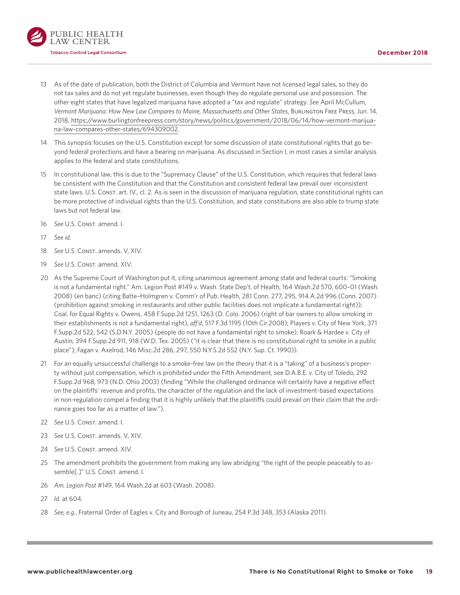<span id="page-18-0"></span>

- [13](#page-4-0)  As of the date of publication, both the District of Columbia and Vermont have not licensed legal sales, so they do not tax sales and do not yet regulate businesses, even though they do regulate personal use and possession. The other eight states that have legalized marijuana have adopted a "tax and regulate" strategy. *See* April McCullum, *Vermont Marijuana: How New Law Compares to Maine, Massachusetts and Other States*, Burlington Free Press, Jun. 14, 2018, [https://www.burlingtonfreepress.com/story/news/politics/government/2018/06/14/how-vermont-marijua](https://www.burlingtonfreepress.com/story/news/politics/government/2018/06/14/how-vermont-marijuana-law-compares-other-states/694309002)[na-law-compares-other-states/694309002.](https://www.burlingtonfreepress.com/story/news/politics/government/2018/06/14/how-vermont-marijuana-law-compares-other-states/694309002)
- 14 This synopsis focuses on the U.S. Constitution except for some discussion of state constitutional rights that go beyond federal protections and have a bearing on marijuana. As discussed in Section I, in most cases a similar analysis applies to the federal and state constitutions.
- [15](#page-5-0) In constitutional law, this is due to the "Supremacy Clause" of the U.S. Constitution, which requires that federal laws be consistent with the Constitution and that the Constitution and consistent federal law prevail over inconsistent state laws. U.S. Const. art. IV., cl. 2. As is seen in the discussion of marijuana regulation, state constitutional rights can be more protective of individual rights than the U.S. Constitution, and state constitutions are also able to trump state laws but not federal law.
- [16](#page-5-0) See U.S. Const. amend. I.
- [17](#page-5-0) *See id.*
- [18](#page-5-0) See U.S. Const. amends. V, XIV.
- [19](#page-5-0) See U.S. Const. amend. XIV.
- [20](#page-5-0) As the Supreme Court of Washington put it, citing unanimous agreement among state and federal courts: "Smoking is not a fundamental right." Am. Legion Post #149 v. Wash. State Dep't. of Health, 164 Wash.2d 570, 600–01 (Wash. 2008) (en banc) (citing Batte–Holmgren v. Comm'r of Pub. Health, 281 Conn. 277, 295, 914 A.2d 996 (Conn. 2007) (prohibition against smoking in restaurants and other public facilities does not implicate a fundamental right)); Coal. for Equal Rights v. Owens, 458 F.Supp.2d 1251, 1263 (D. Colo. 2006) (right of bar owners to allow smoking in their establishments is not a fundamental right), *aff'd*, 517 F.3d 1195 (10th Cir.2008); Players v. City of New York, 371 F.Supp.2d 522, 542 (S.D.N.Y. 2005) (people do not have a fundamental right to smoke); Roark & Hardee v. City of Austin, 394 F.Supp.2d 911, 918 (W.D. Tex. 2005) ("it is clear that there is no constitutional right to smoke in a public place"); Fagan v. Axelrod, 146 Misc.2d 286, 297, 550 N.Y.S.2d 552 (N.Y. Sup. Ct. 1990)).
- [21](#page-5-0) For an equally unsuccessful challenge to a smoke-free law on the theory that it is a "taking" of a business's property without just compensation, which is prohibited under the Fifth Amendment, see D.A.B.E. v. City of Toledo, 292 F.Supp.2d 968, 973 (N.D. Ohio 2003) (finding "While the challenged ordinance will certainly have a negative effect on the plaintiffs' revenue and profits, the character of the regulation and the lack of investment-based expectations in non-regulation compel a finding that it is highly unlikely that the plaintiffs could prevail on their claim that the ordinance goes too far as a matter of law.").
- [22](#page-5-0) See U.S. Const. amend. I.
- [23](#page-5-0) See U.S. Const. amends. V, XIV.
- [24](#page-5-0) See U.S. Const. amend. XIV.
- 25 The amendment prohibits the government from making any law abridging "the right of the people peaceably to assemble[.]" U.S. Const. amend. I.
- [26](#page-6-0) *Am. Legion Post #149*, 164 Wash.2d at 603 (Wash. 2008).
- [27](#page-6-0) *Id.* at 604.
- [28](#page-6-0) *See, e.g.*, Fraternal Order of Eagles v. City and Borough of Juneau, 254 P.3d 348, 353 (Alaska 2011).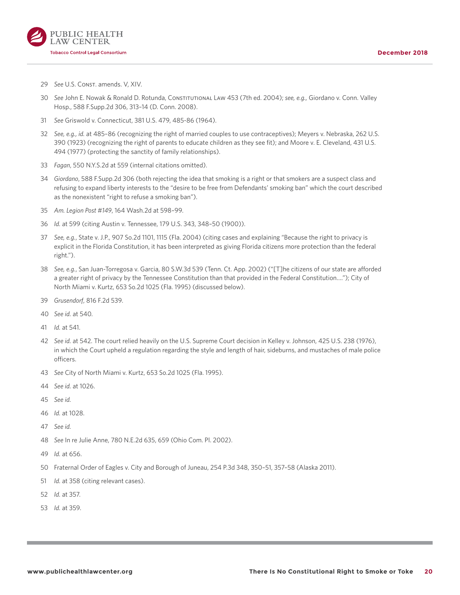<span id="page-19-0"></span>

- See U.S. Const. amends. V, XIV.
- *See* John E. Nowak & Ronald D. Rotunda, Constitutional Law 453 (7th ed. 2004); *see, e.g.,* Giordano v. Conn. Valley Hosp., 588 F.Supp.2d 306, 313–14 (D. Conn. 2008).
- *See* Griswold v. Connecticut, 381 U.S. 479, 485-86 (1964).
- *See, e.g., id.* at 485–86 (recognizing the right of married couples to use contraceptives); Meyers v. Nebraska, 262 U.S. (1923) (recognizing the right of parents to educate children as they see fit); and Moore v. E. Cleveland, 431 U.S. (1977) (protecting the sanctity of family relationships).
- *Fagan*, 550 N.Y.S.2d at 559 (internal citations omitted).
- *Giordano*, 588 F.Supp.2d 306 (both rejecting the idea that smoking is a right or that smokers are a suspect class and refusing to expand liberty interests to the "desire to be free from Defendants' smoking ban" which the court described as the nonexistent "right to refuse a smoking ban").
- *Am. Legion Post #149*, 164 Wash.2d at 598–99.
- *Id.* at 599 (citing Austin v. Tennessee, 179 U.S. 343, 348–50 (1900)).
- *See, e.g.*, State v. J.P., 907 So.2d 1101, 1115 (Fla. 2004) (citing cases and explaining "Because the right to privacy is explicit in the Florida Constitution, it has been interpreted as giving Florida citizens more protection than the federal right.").
- *See, e.g.*, San Juan-Torregosa v. Garcia, 80 S.W.3d 539 (Tenn. Ct. App. 2002) ("[T]he citizens of our state are afforded a greater right of privacy by the Tennessee Constitution than that provided in the Federal Constitution…."); City of North Miami v. Kurtz, 653 So.2d 1025 (Fla. 1995) (discussed below).
- *Grusendorf*, 816 F.2d 539.
- *See id.* at 540.
- *Id.* at 541.
- *See id.* at 542. The court relied heavily on the U.S. Supreme Court decision in Kelley v. Johnson, 425 U.S. 238 (1976), in which the Court upheld a regulation regarding the style and length of hair, sideburns, and mustaches of male police officers.
- *See* City of North Miami v. Kurtz, 653 So.2d 1025 (Fla. 1995).
- *See id.* at 1026.
- *See id.*
- *Id.* at 1028.
- *See id.*
- *See* In re Julie Anne, 780 N.E.2d 635, 659 (Ohio Com. Pl. 2002).
- *Id.* at 656.
- Fraternal Order of Eagles v. City and Borough of Juneau, 254 P.3d 348, 350–51, 357–58 (Alaska 2011).
- *Id.* at 358 (citing relevant cases).
- *Id.* at 357.
- *Id.* at 359.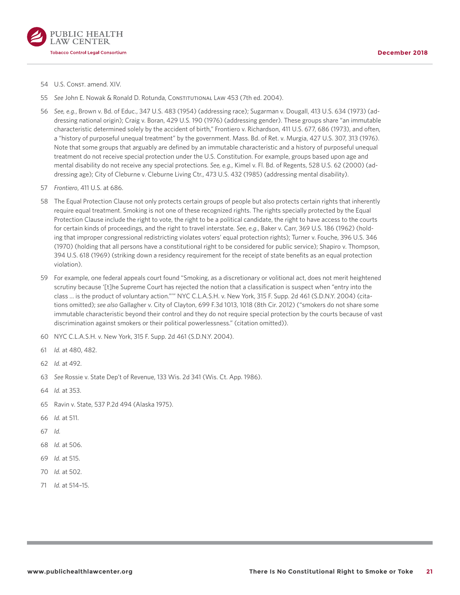<span id="page-20-0"></span>

- [54](#page-9-0) U.S. Const. amend. XIV.
- [55](#page-9-0) *See* John E. Nowak & Ronald D. Rotunda, Constitutional Law 453 (7th ed. 2004).
- [56](#page-9-0) *See, e.g.*, Brown v. Bd. of Educ., 347 U.S. 483 (1954) (addressing race); Sugarman v. Dougall, 413 U.S. 634 (1973) (addressing national origin); Craig v. Boran, 429 U.S. 190 (1976) (addressing gender). These groups share "an immutable characteristic determined solely by the accident of birth," Frontiero v. Richardson, 411 U.S. 677, 686 (1973), and often, a "history of purposeful unequal treatment" by the government. Mass. Bd. of Ret. v. Murgia, 427 U.S. 307, 313 (1976). Note that some groups that arguably are defined by an immutable characteristic and a history of purposeful unequal treatment do not receive special protection under the U.S. Constitution. For example, groups based upon age and mental disability do not receive any special protections. *See, e.g.*, Kimel v. Fl. Bd. of Regents, 528 U.S. 62 (2000) (addressing age); City of Cleburne v. Cleburne Living Ctr., 473 U.S. 432 (1985) (addressing mental disability).
- [57](#page-9-0) *Frontiero*, 411 U.S. at 686.
- 58 The Equal Protection Clause not only protects certain groups of people but also protects certain rights that inherently require equal treatment. Smoking is not one of these recognized rights. The rights specially protected by the Equal Protection Clause include the right to vote, the right to be a political candidate, the right to have access to the courts for certain kinds of proceedings, and the right to travel interstate. *See, e.g.*, Baker v. Carr, 369 U.S. 186 (1962) (holding that improper congressional redistricting violates voters' equal protection rights); Turner v. Fouche, 396 U.S. 346 (1970) (holding that all persons have a constitutional right to be considered for public service); Shapiro v. Thompson, 394 U.S. 618 (1969) (striking down a residency requirement for the receipt of state benefits as an equal protection violation).
- 59 For example, one federal appeals court found "Smoking, as a discretionary or volitional act, does not merit heightened scrutiny because '[t]he Supreme Court has rejected the notion that a classification is suspect when "entry into the class ... is the product of voluntary action."'" NYC C.L.A.S.H. v. New York, 315 F. Supp. 2d 461 (S.D.N.Y. 2004) (citations omitted); *see also* Gallagher v. City of Clayton, 699 F.3d 1013, 1018 (8th Cir. 2012) ("smokers do not share some immutable characteristic beyond their control and they do not require special protection by the courts because of vast discrimination against smokers or their political powerlessness." (citation omitted)).
- [60](#page-10-0)  NYC C.L.A.S.H. v. New York, 315 F. Supp. 2d 461 (S.D.N.Y. 2004).
- [61](#page-10-0) *Id.* at 480, 482.
- [62](#page-10-0) *Id.* at 492.
- [63](#page-10-0) *See* Rossie v. State Dep't of Revenue, 133 Wis. 2d 341 (Wis. Ct. App. 1986).
- [64](#page-10-0) *Id.* at 353.
- [65](#page-11-0)  Ravin v. State, 537 P.2d 494 (Alaska 1975).
- [66](#page-11-0) *Id.* at 511.
- [67](#page-11-0) *Id.*
- [68](#page-11-0) *Id.* at 506.
- [69](#page-11-0) *Id.* at 515.
- [70](#page-11-0) *Id.* at 502.
- [71](#page-11-0) *Id.* at 514–15.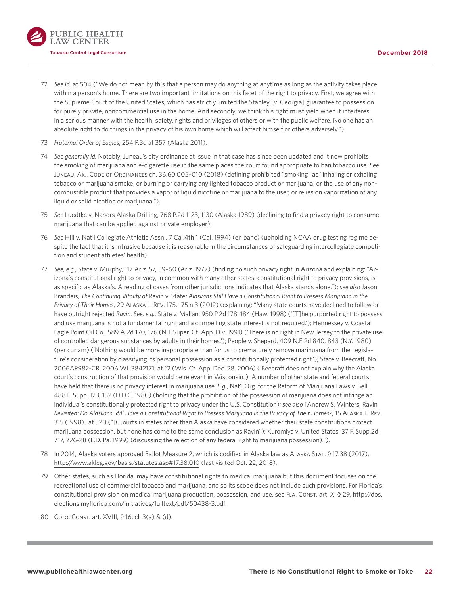<span id="page-21-0"></span>

- [72](#page-11-0) *See id.* at 504 ("We do not mean by this that a person may do anything at anytime as long as the activity takes place within a person's home. There are two important limitations on this facet of the right to privacy. First, we agree with the Supreme Court of the United States, which has strictly limited the Stanley [v. Georgia] guarantee to possession for purely private, noncommercial use in the home. And secondly, we think this right must yield when it interferes in a serious manner with the health, safety, rights and privileges of others or with the public welfare. No one has an absolute right to do things in the privacy of his own home which will affect himself or others adversely.").
- [73](#page-12-0) *Fraternal Order of Eagles*, 254 P.3d at 357 (Alaska 2011).
- [74](#page-12-0) *See generally id.* Notably, Juneau's city ordinance at issue in that case has since been updated and it now prohibits the smoking of marijuana and e-cigarette use in the same places the court found appropriate to ban tobacco use. *See* Juneau, Ak., Code of Ordinances ch. 36.60.005–010 (2018) (defining prohibited "smoking" as "inhaling or exhaling tobacco or marijuana smoke, or burning or carrying any lighted tobacco product or marijuana, or the use of any noncombustible product that provides a vapor of liquid nicotine or marijuana to the user, or relies on vaporization of any liquid or solid nicotine or marijuana.").
- [75](#page-12-0) *See* Luedtke v. Nabors Alaska Drilling, 768 P.2d 1123, 1130 (Alaska 1989) (declining to find a privacy right to consume marijuana that can be applied against private employer).
- [76](#page-12-0) *See* Hill v. Nat'l Collegiate Athletic Assn., 7 Cal.4th 1 (Cal. 1994) (en banc) (upholding NCAA drug testing regime despite the fact that it is intrusive because it is reasonable in the circumstances of safeguarding intercollegiate competition and student athletes' health).
- [77](#page-12-0) *See, e.g.*, State v. Murphy, 117 Ariz. 57, 59–60 (Ariz. 1977) (finding no such privacy right in Arizona and explaining: "Arizona's constitutional right to privacy, in common with many other states' constitutional right to privacy provisions, is as specific as Alaska's. A reading of cases from other jurisdictions indicates that Alaska stands alone."); *see also* Jason Brandeis, *The Continuing Vitality of* Ravin v. State*: Alaskans Still Have a Constitutional Right to Possess Marijuana in the Privacy of Their Homes*, 29 Alaska L. Rev. 175, 175 n.3 (2012) (explaining: "Many state courts have declined to follow or have outright rejected *Ravin*. *See, e.g.*, State v. Mallan, 950 P.2d 178, 184 (Haw. 1998) ('[T]he purported right to possess and use marijuana is not a fundamental right and a compelling state interest is not required.'); Hennessey v. Coastal Eagle Point Oil Co., 589 A.2d 170, 176 (N.J. Super. Ct. App. Div. 1991) ('There is no right in New Jersey to the private use of controlled dangerous substances by adults in their homes.'); People v. Shepard, 409 N.E.2d 840, 843 (N.Y. 1980) (per curiam) ('Nothing would be more inappropriate than for us to prematurely remove marihuana from the Legislature's consideration by classifying its personal possession as a constitutionally protected right.'); State v. Beecraft, No. 2006AP982-CR, 2006 WL 3842171, at \*2 (Wis. Ct. App. Dec. 28, 2006) ('Beecraft does not explain why the Alaska court's construction of that provision would be relevant in Wisconsin.'). A number of other state and federal courts have held that there is no privacy interest in marijuana use. *E.g.*, Nat'l Org. for the Reform of Marijuana Laws v. Bell, 488 F. Supp. 123, 132 (D.D.C. 1980) (holding that the prohibition of the possession of marijuana does not infringe an individual's constitutionally protected right to privacy under the U.S. Constitution); *see also* [Andrew S. Winters, Ravin *Revisited: Do Alaskans Still Have a Constitutional Right to Possess Marijuana in the Privacy of Their Homes?,* 15 Alaska L. Rev. 315 (1998)] at 320 ("[C]ourts in states other than Alaska have considered whether their state constitutions protect marijuana possession, but none has come to the same conclusion as Ravin"); Kuromiya v. United States, 37 F. Supp.2d 717, 726-28 (E.D. Pa. 1999) (discussing the rejection of any federal right to marijuana possession).").
- 78 In 2014, Alaska voters approved Ballot Measure 2, which is codified in Alaska law as ALASKA STAT. § 17.38 (2017), <http://www.akleg.gov/basis/statutes.asp#17.38.010> (last visited Oct. 22, 2018).
- [79](#page-12-0)  Other states, such as Florida, may have constitutional rights to medical marijuana but this document focuses on the recreational use of commercial tobacco and marijuana, and so its scope does not include such provisions. For Florida's constitutional provision on medical marijuana production, possession, and use, see Fla. Const. art. X, § 29, [http://dos.](http://dos.elections.myflorida.com/initiatives/fulltext/pdf/50438-3.pdf) [elections.myflorida.com/initiatives/fulltext/pdf/50438-3.pdf.](http://dos.elections.myflorida.com/initiatives/fulltext/pdf/50438-3.pdf)
- [80](#page-12-0) Colo. Const. art. XVIII, § 16, cl. 3(a) & (d).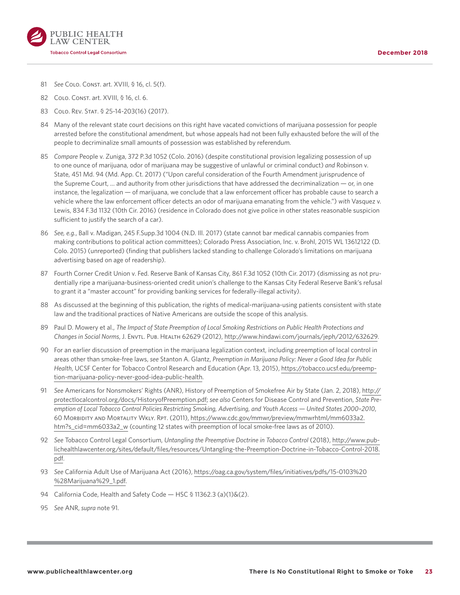<span id="page-22-0"></span>

- [81](#page-13-0) *See* Colo. Const. art. XVIII, § 16, cl. 5(f).
- [82](#page-13-0) Colo. Const. art. XVIII, § 16, cl. 6.
- [83](#page-13-0) Colo. Rev. Stat. § 25-14-203(16) (2017).
- [84](#page-13-0) Many of the relevant state court decisions on this right have vacated convictions of marijuana possession for people arrested before the constitutional amendment, but whose appeals had not been fully exhausted before the will of the people to decriminalize small amounts of possession was established by referendum.
- [85](#page-13-0) *Compare* People v. Zuniga, 372 P.3d 1052 (Colo. 2016) (despite constitutional provision legalizing possession of up to one ounce of marijuana, odor of marijuana may be suggestive of unlawful or criminal conduct) *and* Robinson v. State, 451 Md. 94 (Md. App. Ct. 2017) ("Upon careful consideration of the Fourth Amendment jurisprudence of the Supreme Court, … and authority from other jurisdictions that have addressed the decriminalization — or, in one instance, the legalization — of marijuana, we conclude that a law enforcement officer has probable cause to search a vehicle where the law enforcement officer detects an odor of marijuana emanating from the vehicle.") *with* Vasquez v. Lewis, 834 F.3d 1132 (10th Cir. 2016) (residence in Colorado does not give police in other states reasonable suspicion sufficient to justify the search of a car).
- [86](#page-13-0) *See, e.g.*, Ball v. Madigan, 245 F.Supp.3d 1004 (N.D. Ill. 2017) (state cannot bar medical cannabis companies from making contributions to political action committees); Colorado Press Association, Inc. v. Brohl, 2015 WL 13612122 (D. Colo. 2015) (unreported) (finding that publishers lacked standing to challenge Colorado's limitations on marijuana advertising based on age of readership).
- 87 Fourth Corner Credit Union v. Fed. Reserve Bank of Kansas City, 861 F.3d 1052 (10th Cir. 2017) (dismissing as not prudentially ripe a marijuana-business-oriented credit union's challenge to the Kansas City Federal Reserve Bank's refusal to grant it a "master account" for providing banking services for federally-illegal activity).
- [88](#page-14-0) As discussed at the beginning of this publication, the rights of medical-marijuana-using patients consistent with state law and the traditional practices of Native Americans are outside the scope of this analysis.
- [89](#page-15-0) Paul D. Mowery et al., *The Impact of State Preemption of Local Smoking Restrictions on Public Health Protections and Changes in Social Norms*, J. Envtl. Pub. Health 62629 (2012), [http://www.hindawi.com/journals/jeph/2012/632629.](http://www.hindawi.com/journals/jeph/2012/632629)
- 90 For an earlier discussion of preemption in the marijuana legalization context, including preemption of local control in areas other than smoke-free laws, *see* Stanton A. Glantz, *Preemption in Marijuana Policy: Never a Good Idea for Public Health*, UCSF Center for Tobacco Control Research and Education (Apr. 13, 2015), [https://tobacco.ucsf.edu/preemp](https://tobacco.ucsf.edu/preemption-marijuana-policy-never-good-idea-public-health)[tion-marijuana-policy-never-good-idea-public-health.](https://tobacco.ucsf.edu/preemption-marijuana-policy-never-good-idea-public-health)
- [91](#page-15-0) *See* Americans for Nonsmokers' Rights (ANR), History of Preemption of Smokefree Air by State (Jan. 2, 2018), [http://](http://protectlocalcontrol.org/docs/HistoryofPreemption.pdf) [protectlocalcontrol.org/docs/HistoryofPreemption.pdf](http://protectlocalcontrol.org/docs/HistoryofPreemption.pdf); *see also* Centers for Disease Control and Prevention, *State Preemption of Local Tobacco Control Policies Restricting Smoking, Advertising, and Youth Access — United States 2000–2010*, 60 Morbidity and Mortality Wkly. Rpt. (2011), [https://www.cdc.gov/mmwr/preview/mmwrhtml/mm6033a2.](https://www.cdc.gov/mmwr/preview/mmwrhtml/mm6033a2.htm?s_cid=mm6033a2_w) [htm?s\\_cid=mm6033a2\\_w](https://www.cdc.gov/mmwr/preview/mmwrhtml/mm6033a2.htm?s_cid=mm6033a2_w) (counting 12 states with preemption of local smoke-free laws as of 2010).
- [92](#page-15-0) *See* Tobacco Control Legal Consortium, *Untangling the Preemptive Doctrine in Tobacco Control* (2018), [http://www.pub](http://www.publichealthlawcenter.org/sites/default/files/resources/Untangling-the-Preemption-Doctrine-in-Tobacco-Control-2018.pdf)[lichealthlawcenter.org/sites/default/files/resources/Untangling-the-Preemption-Doctrine-in-Tobacco-Control-2018.](http://www.publichealthlawcenter.org/sites/default/files/resources/Untangling-the-Preemption-Doctrine-in-Tobacco-Control-2018.pdf) [pdf.](http://www.publichealthlawcenter.org/sites/default/files/resources/Untangling-the-Preemption-Doctrine-in-Tobacco-Control-2018.pdf)
- [93](#page-15-0) *See* California Adult Use of Marijuana Act (2016), [https://oag.ca.gov/system/files/initiatives/pdfs/15-0103%20](https://oag.ca.gov/system/files/initiatives/pdfs/15-0103%20%28Marijuana%29_1.pdf) [%28Marijuana%29\\_1.pdf](https://oag.ca.gov/system/files/initiatives/pdfs/15-0103%20%28Marijuana%29_1.pdf).
- [94](#page-15-0) California Code, Health and Safety Code HSC § 11362.3 (a)(1)&(2).
- [95](#page-15-0) *See* ANR, *supra* note 91.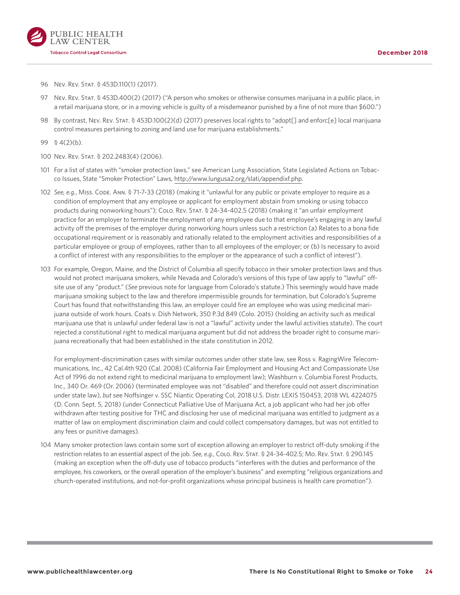

<span id="page-23-0"></span>

- [96](#page-15-0) Nev. Rev. Stat. § 453D.110(1) (2017).
- [97](#page-15-0) Nev. Rev. Stat. § 453D.400(2) (2017) ("A person who smokes or otherwise consumes marijuana in a public place, in a retail marijuana store, or in a moving vehicle is guilty of a misdemeanor punished by a fine of not more than \$600.")
- [98](#page-15-0) By contrast, Nev. Rev. Stat. § 453D.100(2)(d) (2017) preserves local rights to "adopt[] and enforc[e] local marijuana control measures pertaining to zoning and land use for marijuana establishments."
- [99](#page-15-0) § 4(2)(b).
- [100](#page-15-0) Nev. Rev. Stat. § 202.2483(4) (2006).
- 101 For a list of states with "smoker protection laws," see American Lung Association, State Legislated Actions on Tobacco Issues, State "Smoker Protection" Laws, [http://www.lungusa2.org/slati/appendixf.php.](http://www.lungusa2.org/slati/appendixf.php)
- [102](#page-16-0) *See, e.g.*, Miss. Code. Ann. § 71-7-33 (2018) (making it "unlawful for any public or private employer to require as a condition of employment that any employee or applicant for employment abstain from smoking or using tobacco products during nonworking hours"); CoLo. Rev. STAT. § 24-34-402.5 (2018) (making it "an unfair employment practice for an employer to terminate the employment of any employee due to that employee's engaging in any lawful activity off the premises of the employer during nonworking hours unless such a restriction (a) Relates to a bona fide occupational requirement or is reasonably and rationally related to the employment activities and responsibilities of a particular employee or group of employees, rather than to all employees of the employer; or (b) Is necessary to avoid a conflict of interest with any responsibilities to the employer or the appearance of such a conflict of interest").
- [103](#page-16-0) For example, Oregon, Maine, and the District of Columbia all specify tobacco in their smoker protection laws and thus would not protect marijuana smokers, while Nevada and Colorado's versions of this type of law apply to "lawful" offsite use of any "product." (*See* previous note for language from Colorado's statute.) This seemingly would have made marijuana smoking subject to the law and therefore impermissible grounds for termination, but Colorado's Supreme Court has found that notwithstanding this law, an employer could fire an employee who was using medicinal marijuana outside of work hours. Coats v. Dish Network, 350 P.3d 849 (Colo. 2015) (holding an activity such as medical marijuana use that is unlawful under federal law is not a "lawful" activity under the lawful activities statute). The court rejected a constitutional right to medical marijuana argument but did not address the broader right to consume marijuana recreationally that had been established in the state constitution in 2012.

For employment-discrimination cases with similar outcomes under other state law, see Ross v. RagingWire Telecommunications, Inc., 42 Cal.4th 920 (Cal. 2008) (California Fair Employment and Housing Act and Compassionate Use Act of 1996 do not extend right to medicinal marijuana to employment law); Washburn v. Columbia Forest Products, Inc., 340 Or. 469 (Or. 2006) (terminated employee was not "disabled" and therefore could not assert discrimination under state law), *but* see Noffsinger v. SSC Niantic Operating Col, 2018 U.S. Distr. LEXIS 150453, 2018 WL 4224075 (D. Conn. Sept. 5, 2018) (under Connecticut Palliative Use of Marijuana Act, a job applicant who had her job offer withdrawn after testing positive for THC and disclosing her use of medicinal marijuana was entitled to judgment as a matter of law on employment discrimination claim and could collect compensatory damages, but was not entitled to any fees or punitive damages).

[104](#page-16-0) Many smoker protection laws contain some sort of exception allowing an employer to restrict off-duty smoking if the restriction relates to an essential aspect of the job. *See, e.g.*, Colo. Rev. Stat. § 24-34-402.5; Mo. Rev. Stat. § 290.145 (making an exception when the off-duty use of tobacco products "interferes with the duties and performance of the employee, his coworkers, or the overall operation of the employer's business" and exempting "religious organizations and church-operated institutions, and not-for-profit organizations whose principal business is health care promotion").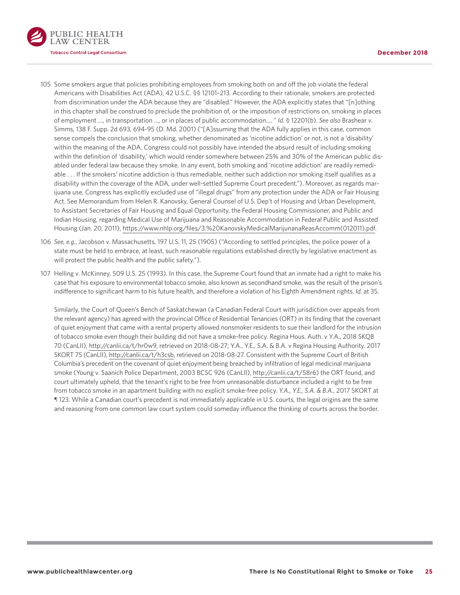<span id="page-24-0"></span>

- [105](#page-16-0)  Some smokers argue that policies prohibiting employees from smoking both on and off the job violate the federal Americans with Disabilities Act (ADA), 42 U.S.C. §§ 12101–213. According to their rationale, smokers are protected from discrimination under the ADA because they are "disabled." However, the ADA explicitly states that "[n]othing in this chapter shall be construed to preclude the prohibition of, or the imposition of restrictions on, smoking in places of employment …, in transportation …, or in places of public accommodation.… " *Id.* § 12201(b). *See also* Brashear v. Simms, 138 F. Supp. 2d 693, 694-95 (D. Md. 2001) ("[A]ssuming that the ADA fully applies in this case, common sense compels the conclusion that smoking, whether denominated as 'nicotine addiction' or not, is not a 'disability' within the meaning of the ADA. Congress could not possibly have intended the absurd result of including smoking within the definition of 'disability,' which would render somewhere between 25% and 30% of the American public disabled under federal law because they smoke. In any event, both smoking and 'nicotine addiction' are readily remediable . . . If the smokers' nicotine addiction is thus remediable, neither such addiction nor smoking itself qualifies as a disability within the coverage of the ADA, under well-settled Supreme Court precedent."). Moreover, as regards marijuana use, Congress has explicitly excluded use of "illegal drugs" from any protection under the ADA or Fair Housing Act. See Memorandum from Helen R. Kanovsky, General Counsel of U.S. Dep't of Housing and Urban Development, to Assistant Secretaries of Fair Housing and Equal Opportunity, the Federal Housing Commissioner, and Public and Indian Housing, regarding Medical Use of Marijuana and Reasonable Accommodation in Federal Public and Assisted Housing (Jan. 20, 2011), [https://www.nhlp.org/files/3.%20KanovskyMedicalMarijunanaReasAccomm\(012011\).pdf.](https://www.nhlp.org/files/3.%20KanovskyMedicalMarijunanaReasAccomm(012011).pdf)
- [106](#page-16-0) *See, e.g.*, Jacobson v. Massachusetts, 197 U.S. 11, 25 (1905) ("According to settled principles, the police power of a state must be held to embrace, at least, such reasonable regulations established directly by legislative enactment as will protect the public health and the public safety.").
- [107](#page-16-0) Helling v. McKinney, 509 U.S. 25 (1993). In this case, the Supreme Court found that an inmate had a right to make his case that his exposure to environmental tobacco smoke, also known as secondhand smoke, was the result of the prison's indifference to significant harm to his future health, and therefore a violation of his Eighth Amendment rights. *Id.* at 35.

Similarly, the Court of Queen's Bench of Saskatchewan (a Canadian Federal Court with jurisdiction over appeals from the relevant agency) has agreed with the provincial Office of Residential Tenancies (ORT) in its finding that the covenant of quiet enjoyment that came with a rental property allowed nonsmoker residents to sue their landlord for the intrusion of tobacco smoke even though their building did not have a smoke-free policy. Regina Hous. Auth. v Y.A., 2018 SKQB 70 (CanLII), <http://canlii.ca/t/hr0w9>, retrieved on 2018-08-27; Y.A., Y.E., S.A. & B.A. v Regina Housing Authority, 2017 SKORT 75 (CanLII), <http://canlii.ca/t/h3csb>, retrieved on 2018-08-27. Consistent with the Supreme Court of British Columbia's precedent on the covenant of quiet enjoyment being breached by infiltration of legal medicinal marijuana smoke (Young v. Saanich Police Department, 2003 BCSC 926 (CanLII), <http://canlii.ca/t/58r6>) the ORT found, and court ultimately upheld, that the tenant's right to be free from unreasonable disturbance included a right to be free from tobacco smoke in an apartment building with no explicit smoke-free policy. *Y.A., Y.E., S.A. & B.A.*, 2017 SKORT at ¶ 123. While a Canadian court's precedent is not immediately applicable in U.S. courts, the legal origins are the same and reasoning from one common law court system could someday influence the thinking of courts across the border.